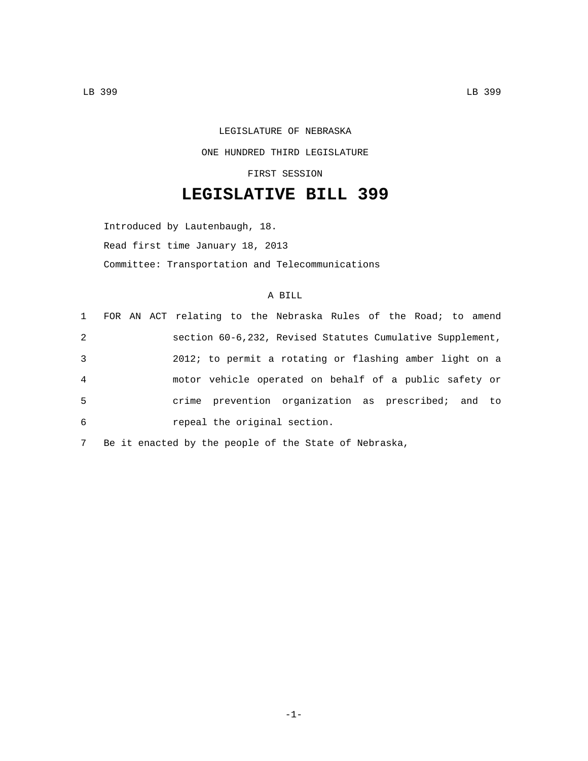## LEGISLATURE OF NEBRASKA ONE HUNDRED THIRD LEGISLATURE FIRST SESSION

## **LEGISLATIVE BILL 399**

Introduced by Lautenbaugh, 18. Read first time January 18, 2013 Committee: Transportation and Telecommunications

## A BILL

|                |  | 1 FOR AN ACT relating to the Nebraska Rules of the Road; to amend |
|----------------|--|-------------------------------------------------------------------|
| 2              |  | section 60-6,232, Revised Statutes Cumulative Supplement,         |
| 3              |  | 2012; to permit a rotating or flashing amber light on a           |
| $\overline{4}$ |  | motor vehicle operated on behalf of a public safety or            |
| 5              |  | crime prevention organization as prescribed; and to               |
| 6              |  | repeal the original section.                                      |
|                |  |                                                                   |

7 Be it enacted by the people of the State of Nebraska,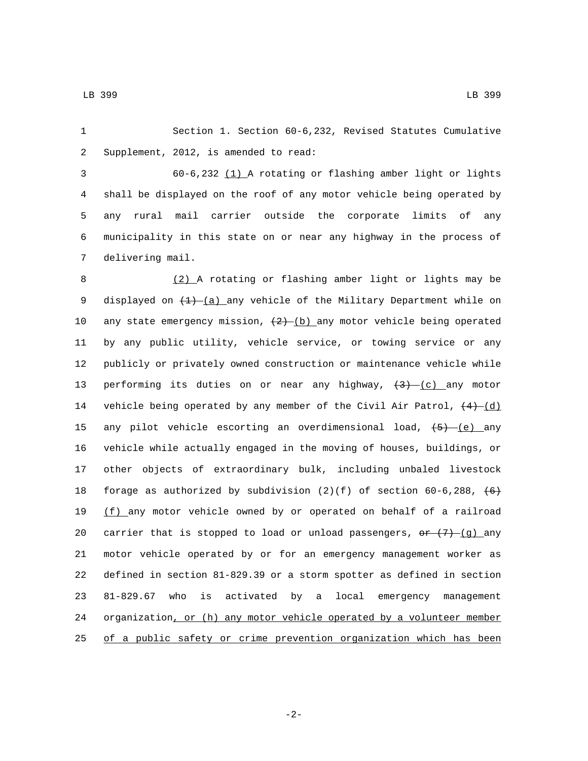LB 399 LB 399

1 Section 1. Section 60-6,232, Revised Statutes Cumulative 2 Supplement, 2012, is amended to read:

 60-6,232 (1) A rotating or flashing amber light or lights shall be displayed on the roof of any motor vehicle being operated by any rural mail carrier outside the corporate limits of any municipality in this state on or near any highway in the process of 7 delivering mail.

8 (2) A rotating or flashing amber light or lights may be 9 displayed on  $(1)$ - $(a)$  any vehicle of the Military Department while on 10 any state emergency mission,  $\left\{2\right\}$  (b) any motor vehicle being operated 11 by any public utility, vehicle service, or towing service or any 12 publicly or privately owned construction or maintenance vehicle while 13 performing its duties on or near any highway,  $\left(3\right)$   $\left(\frac{c}{c}\right)$  any motor 14 vehicle being operated by any member of the Civil Air Patrol,  $\left(4\right)$   $\left(4\right)$ 15 any pilot vehicle escorting an overdimensional load,  $\{5\}$  (e) any 16 vehicle while actually engaged in the moving of houses, buildings, or 17 other objects of extraordinary bulk, including unbaled livestock 18 forage as authorized by subdivision (2)(f) of section  $60-6,288, 46$ 19 (f) any motor vehicle owned by or operated on behalf of a railroad 20 carrier that is stopped to load or unload passengers,  $\theta$   $(7)$  (g) any 21 motor vehicle operated by or for an emergency management worker as 22 defined in section 81-829.39 or a storm spotter as defined in section 23 81-829.67 who is activated by a local emergency management 24 organization, or (h) any motor vehicle operated by a volunteer member 25 of a public safety or crime prevention organization which has been